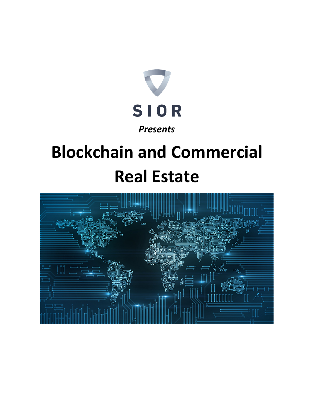

# **Blockchain and Commercial Real Estate**

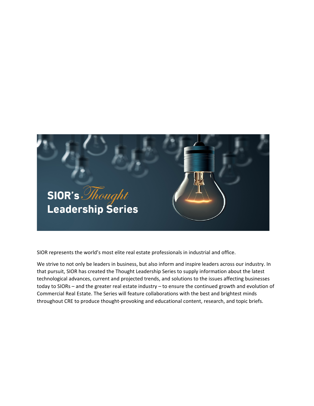

SIOR represents the world's most elite real estate professionals in industrial and office.

We strive to not only be leaders in business, but also inform and inspire leaders across our industry. In that pursuit, SIOR has created the Thought Leadership Series to supply information about the latest technological advances, current and projected trends, and solutions to the issues affecting businesses today to SIORs – and the greater real estate industry – to ensure the continued growth and evolution of Commercial Real Estate. The Series will feature collaborations with the best and brightest minds throughout CRE to produce thought-provoking and educational content, research, and topic briefs.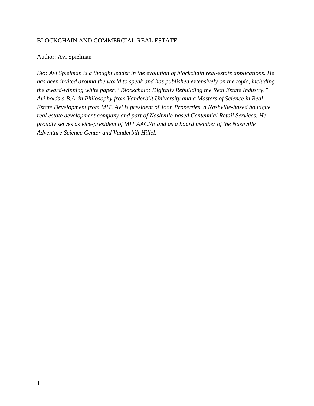#### BLOCKCHAIN AND COMMERCIAL REAL ESTATE

#### Author: Avi Spielman

*Bio: Avi Spielman is a thought leader in the evolution of blockchain real-estate applications. He has been invited around the world to speak and has published extensively on the topic, including the award-winning white paper, "Blockchain: Digitally Rebuilding the Real Estate Industry." Avi holds a B.A. in Philosophy from Vanderbilt University and a Masters of Science in Real Estate Development from MIT. Avi is president of Joon Properties, a Nashville-based boutique real estate development company and part of Nashville-based Centennial Retail Services. He proudly serves as vice-president of MIT AACRE and as a board member of the Nashville Adventure Science Center and Vanderbilt Hillel.*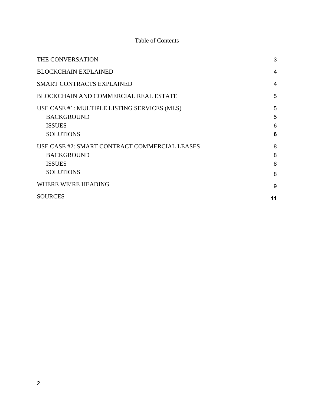# Table of Contents

| THE CONVERSATION                                                                                        | 3                |
|---------------------------------------------------------------------------------------------------------|------------------|
| <b>BLOCKCHAIN EXPLAINED</b>                                                                             | $\overline{4}$   |
| <b>SMART CONTRACTS EXPLAINED</b>                                                                        | $\overline{4}$   |
| BLOCKCHAIN AND COMMERCIAL REAL ESTATE                                                                   | 5                |
| USE CASE #1: MULTIPLE LISTING SERVICES (MLS)<br><b>BACKGROUND</b><br><b>ISSUES</b><br><b>SOLUTIONS</b>  | 5<br>5<br>6<br>6 |
| USE CASE #2: SMART CONTRACT COMMERCIAL LEASES<br><b>BACKGROUND</b><br><b>ISSUES</b><br><b>SOLUTIONS</b> | 8<br>8<br>8<br>8 |
| <b>WHERE WE'RE HEADING</b>                                                                              | 9                |
| <b>SOURCES</b>                                                                                          | 11               |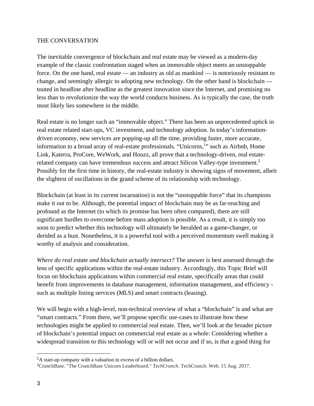#### THE CONVERSATION

The inevitable convergence of blockchain and real estate may be viewed as a modern-day example of the classic confrontation staged when an immovable object meets an unstoppable force. On the one hand, real estate — an industry as old as mankind — is notoriously resistant to change, and seemingly allergic to adopting new technology. On the other hand is blockchain touted in headline after headline as the greatest innovation since the Internet, and promising no less than to revolutionize the way the world conducts business. As is typically the case, the truth most likely lies somewhere in the middle.

Real estate is no longer such an "immovable object." There has been an unprecedented uptick in real estate related start-ups, VC investment, and technology adoption. In today's informationdriven economy, new services are popping-up all the time, providing faster, more accurate, information to a broad array of real-estate professionals. "Unicorns,<sup>1</sup>" such as Airbnb, Home Link, Katerra, ProCore, WeWork, and Houzz, all prove that a technology-driven, real estaterelated company can have tremendous success and attract Silicon Valley-type investment.<sup>2</sup> Possibly for the first time in history, the real-estate industry is showing signs of movement, albeit the slightest of oscillations in the grand scheme of its relationship with technology.

Blockchain (at least in its current incarnation) is not the "unstoppable force" that its champions make it out to be. Although, the potential impact of blockchain may be as far-reaching and profound as the Internet (to which its promise has been often compared), there are still significant hurdles to overcome before mass adoption is possible. As a result, it is simply too soon to predict whether this technology will ultimately be heralded as a game-changer, or derided as a bust. Nonetheless, it is a powerful tool with a perceived momentum swell making it worthy of analysis and consideration.

*Where do real estate and blockchain actually intersect?* The answer is best assessed through the lens of specific applications within the real-estate industry. Accordingly, this Topic Brief will focus on blockchain applications within commercial real estate, specifically areas that could benefit from improvements in database management, information management, and efficiency such as multiple listing services (MLS) and smart contracts (leasing).

We will begin with a high-level, non-technical overview of what a "blockchain" is and what are "smart contracts." From there, we'll propose specific use-cases to illustrate how these technologies might be applied to commercial real estate. Then, we'll look at the broader picture of blockchain's potential impact on commercial real estate as a whole: Considering whether a widespread transition to this technology will or will not occur and if so, is that a good thing for

<sup>&</sup>lt;sup>1</sup>A start-up company with a valuation in excess of a billion dollars.

<sup>2</sup>CrunchBase. "The CrunchBase Unicorn Leaderboard." *TechCrunch*. TechCrunch. Web. 15 Aug. 2017.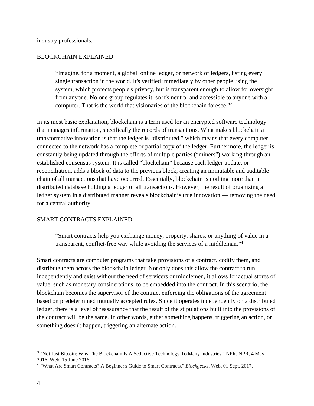industry professionals.

#### BLOCKCHAIN EXPLAINED

"Imagine, for a moment, a global, online ledger, or network of ledgers, listing every single transaction in the world. It's verified immediately by other people using the system, which protects people's privacy, but is transparent enough to allow for oversight from anyone. No one group regulates it, so it's neutral and accessible to anyone with a computer. That is the world that visionaries of the blockchain foresee."<sup>3</sup>

In its most basic explanation, blockchain is a term used for an encrypted software technology that manages information, specifically the records of transactions. What makes blockchain a transformative innovation is that the ledger is "distributed," which means that every computer connected to the network has a complete or partial copy of the ledger. Furthermore, the ledger is constantly being updated through the efforts of multiple parties ("miners") working through an established consensus system. It is called "blockchain" because each ledger update, or reconciliation, adds a block of data to the previous block, creating an immutable and auditable chain of all transactions that have occurred. Essentially, blockchain is nothing more than a distributed database holding a ledger of all transactions. However, the result of organizing a ledger system in a distributed manner reveals blockchain's true innovation — removing the need for a central authority.

## SMART CONTRACTS EXPLAINED

"Smart contracts help you exchange money, property, shares, or anything of value in a transparent, conflict-free way while avoiding the services of a middleman."4

Smart contracts are computer programs that take provisions of a contract, codify them, and distribute them across the blockchain ledger. Not only does this allow the contract to run independently and exist without the need of servicers or middlemen, it allows for actual stores of value, such as monetary considerations, to be embedded into the contract. In this scenario, the blockchain becomes the supervisor of the contract enforcing the obligations of the agreement based on predetermined mutually accepted rules. Since it operates independently on a distributed ledger, there is a level of reassurance that the result of the stipulations built into the provisions of the contract will be the same. In other words, either something happens, triggering an action, or something doesn't happen, triggering an alternate action.

<sup>3</sup> "Not Just Bitcoin: Why The Blockchain Is A Seductive Technology To Many Industries." NPR. NPR, 4 May 2016. Web. 15 June 2016.

<sup>4</sup> "What Are Smart Contracts? A Beginner's Guide to Smart Contracts." *Blockgeeks*. Web. 01 Sept. 2017.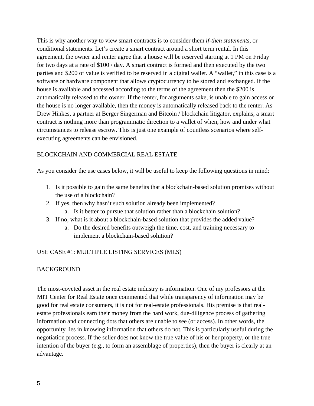This is why another way to view smart contracts is to consider them *if-then statements*, or conditional statements. Let's create a smart contract around a short term rental. In this agreement, the owner and renter agree that a house will be reserved starting at 1 PM on Friday for two days at a rate of \$100 / day. A smart contract is formed and then executed by the two parties and \$200 of value is verified to be reserved in a digital wallet. A "wallet," in this case is a software or hardware component that allows cryptocurrency to be stored and exchanged. If the house is available and accessed according to the terms of the agreement then the \$200 is automatically released to the owner. If the renter, for arguments sake, is unable to gain access or the house is no longer available, then the money is automatically released back to the renter. As Drew Hinkes, a partner at Berger Singerman and Bitcoin / blockchain litigator, explains, a smart contract is nothing more than programmatic direction to a wallet of when, how and under what circumstances to release escrow. This is just one example of countless scenarios where selfexecuting agreements can be envisioned.

## BLOCKCHAIN AND COMMERCIAL REAL ESTATE

As you consider the use cases below, it will be useful to keep the following questions in mind:

- 1. Is it possible to gain the same benefits that a blockchain-based solution promises without the use of a blockchain?
- 2. If yes, then why hasn't such solution already been implemented?
	- a. Is it better to pursue that solution rather than a blockchain solution?
- 3. If no, what is it about a blockchain-based solution that provides the added value?
	- a. Do the desired benefits outweigh the time, cost, and training necessary to implement a blockchain-based solution?

## USE CASE #1: MULTIPLE LISTING SERVICES (MLS)

## **BACKGROUND**

The most-coveted asset in the real estate industry is information. One of my professors at the MIT Center for Real Estate once commented that while transparency of information may be good for real estate consumers, it is not for real-estate professionals. His premise is that realestate professionals earn their money from the hard work, due-diligence process of gathering information and connecting dots that others are unable to see (or access). In other words, the opportunity lies in knowing information that others do not. This is particularly useful during the negotiation process. If the seller does not know the true value of his or her property, or the true intention of the buyer (e.g., to form an assemblage of properties), then the buyer is clearly at an advantage.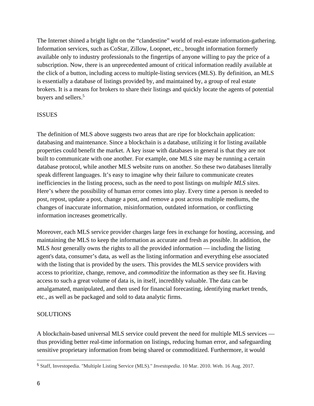The Internet shined a bright light on the "clandestine" world of real-estate information-gathering. Information services, such as CoStar, Zillow, Loopnet, etc., brought information formerly available only to industry professionals to the fingertips of anyone willing to pay the price of a subscription. Now, there is an unprecedented amount of critical information readily available at the click of a button, including access to multiple-listing services (MLS). By definition, an MLS is essentially a database of listings provided by, and maintained by, a group of real estate brokers. It is a means for brokers to share their listings and quickly locate the agents of potential buyers and sellers.<sup>5</sup>

## ISSUES

The definition of MLS above suggests two areas that are ripe for blockchain application: databasing and maintenance. Since a blockchain is a database, utilizing it for listing available properties could benefit the market. A key issue with databases in general is that they are not built to communicate with one another. For example, one MLS site may be running a certain database protocol, while another MLS website runs on another. So these two databases literally speak different languages. It's easy to imagine why their failure to communicate creates inefficiencies in the listing process, such as the need to post listings on *multiple MLS sites*. Here's where the possibility of human error comes into play. Every time a person is needed to post, repost, update a post, change a post, and remove a post across multiple mediums, the changes of inaccurate information, misinformation, outdated information, or conflicting information increases geometrically.

Moreover, each MLS service provider charges large fees in exchange for hosting, accessing, and maintaining the MLS to keep the information as accurate and fresh as possible. In addition, the MLS *host* generally owns the rights to all the provided information — including the listing agent's data, consumer's data, as well as the listing information and everything else associated with the listing that is provided by the users. This provides the MLS service providers with access to prioritize, change, remove, and *commoditize* the information as they see fit. Having access to such a great volume of data is, in itself, incredibly valuable. The data can be amalgamated, manipulated, and then used for financial forecasting, identifying market trends, etc., as well as be packaged and sold to data analytic firms.

## SOLUTIONS

A blockchain-based universal MLS service could prevent the need for multiple MLS services thus providing better real-time information on listings, reducing human error, and safeguarding sensitive proprietary information from being shared or commoditized. Furthermore, it would

 $\overline{a}$ 

<sup>5</sup> Staff, Investopedia. "Multiple Listing Service (MLS)." *Investopedia*. 10 Mar. 2010. Web. 16 Aug. 2017.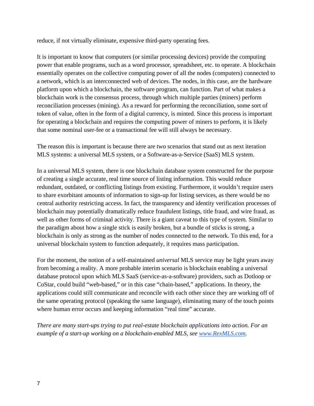reduce, if not virtually eliminate, expensive third-party operating fees.

It is important to know that computers (or similar processing devices) provide the computing power that enable programs, such as a word processor, spreadsheet, etc. to operate. A blockchain essentially operates on the collective computing power of all the nodes (computers) connected to a network, which is an interconnected web of devices. The nodes, in this case, are the hardware platform upon which a blockchain, the software program, can function. Part of what makes a blockchain work is the consensus process, through which multiple parties (miners) perform reconciliation processes (mining). As a reward for performing the reconciliation, some sort of token of value, often in the form of a digital currency, is minted. Since this process is important for operating a blockchain and requires the computing power of miners to perform, it is likely that some nominal user-fee or a transactional fee will still always be necessary.

The reason this is important is because there are two scenarios that stand out as next iteration MLS systems: a universal MLS system, or a Software-as-a-Service (SaaS) MLS system.

In a universal MLS system, there is one blockchain database system constructed for the purpose of creating a single accurate, real time source of listing information. This would reduce redundant, outdated, or conflicting listings from existing. Furthermore, it wouldn't require users to share exorbitant amounts of information to sign-up for listing services, as there would be no central authority restricting access. In fact, the transparency and identity verification processes of blockchain may potentially dramatically reduce fraudulent listings, title fraud, and wire fraud, as well as other forms of criminal activity. There is a giant caveat to this type of system. Similar to the paradigm about how a single stick is easily broken, but a bundle of sticks is strong, a blockchain is only as strong as the number of nodes connected to the network. To this end, for a universal blockchain system to function adequately, it requires mass participation.

For the moment, the notion of a self-maintained *universal* MLS service may be light years away from becoming a reality. A more probable interim scenario is blockchain enabling a universal database protocol upon which MLS SaaS (service-as-a-software) providers, such as Dotloop or CoStar, could build "web-based," or in this case "chain-based," applications. In theory, the applications could still communicate and reconcile with each other since they are working off of the same operating protocol (speaking the same language), eliminating many of the touch points where human error occurs and keeping information "real time" accurate.

*There are many start-ups trying to put real-estate blockchain applications into action. For an example of a start-up working on a blockchain-enabled MLS, see www.RexMLS.com.*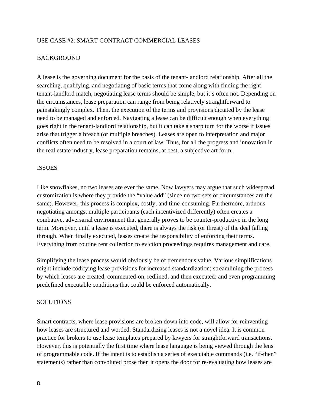#### USE CASE #2: SMART CONTRACT COMMERCIAL LEASES

#### BACKGROUND

A lease is the governing document for the basis of the tenant-landlord relationship. After all the searching, qualifying, and negotiating of basic terms that come along with finding the right tenant-landlord match, negotiating lease terms should be simple, but it's often not. Depending on the circumstances, lease preparation can range from being relatively straightforward to painstakingly complex. Then, the execution of the terms and provisions dictated by the lease need to be managed and enforced. Navigating a lease can be difficult enough when everything goes right in the tenant-landlord relationship, but it can take a sharp turn for the worse if issues arise that trigger a breach (or multiple breaches). Leases are open to interpretation and major conflicts often need to be resolved in a court of law. Thus, for all the progress and innovation in the real estate industry, lease preparation remains, at best, a subjective art form.

#### ISSUES

Like snowflakes, no two leases are ever the same. Now lawyers may argue that such widespread customization is where they provide the "value add" (since no two sets of circumstances are the same). However, this process is complex, costly, and time-consuming. Furthermore, arduous negotiating amongst multiple participants (each incentivized differently) often creates a combative, adversarial environment that generally proves to be counter-productive in the long term. Moreover, until a lease is executed, there is always the risk (or threat) of the deal falling through. When finally executed, leases create the responsibility of enforcing their terms. Everything from routine rent collection to eviction proceedings requires management and care.

Simplifying the lease process would obviously be of tremendous value. Various simplifications might include codifying lease provisions for increased standardization; streamlining the process by which leases are created, commented-on, redlined, and then executed; and even programming predefined executable conditions that could be enforced automatically.

#### **SOLUTIONS**

Smart contracts, where lease provisions are broken down into code, will allow for reinventing how leases are structured and worded. Standardizing leases is not a novel idea. It is common practice for brokers to use lease templates prepared by lawyers for straightforward transactions. However, this is potentially the first time where lease language is being viewed through the lens of programmable code. If the intent is to establish a series of executable commands (i.e. "if-then" statements) rather than convoluted prose then it opens the door for re-evaluating how leases are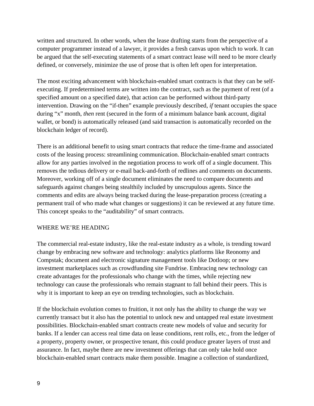written and structured. In other words, when the lease drafting starts from the perspective of a computer programmer instead of a lawyer, it provides a fresh canvas upon which to work. It can be argued that the self-executing statements of a smart contract lease will need to be more clearly defined, or conversely, minimize the use of prose that is often left open for interpretation.

The most exciting advancement with blockchain-enabled smart contracts is that they can be selfexecuting. If predetermined terms are written into the contract, such as the payment of rent (of a specified amount on a specified date), that action can be performed without third-party intervention. Drawing on the "if-then" example previously described, *if* tenant occupies the space during "x" month, *then* rent (secured in the form of a minimum balance bank account, digital wallet, or bond) is automatically released (and said transaction is automatically recorded on the blockchain ledger of record).

There is an additional benefit to using smart contracts that reduce the time-frame and associated costs of the leasing process: streamlining communication. Blockchain-enabled smart contracts allow for any parties involved in the negotiation process to work off of a single document. This removes the tedious delivery or e-mail back-and-forth of redlines and comments on documents. Moreover, working off of a single document eliminates the need to compare documents and safeguards against changes being stealthily included by unscrupulous agents. Since the comments and edits are always being tracked during the lease-preparation process (creating a permanent trail of who made what changes or suggestions) it can be reviewed at any future time. This concept speaks to the "auditability" of smart contracts.

## WHERE WE'RE HEADING

The commercial real-estate industry, like the real-estate industry as a whole, is trending toward change by embracing new software and technology: analytics platforms like Reonomy and Compstak; document and electronic signature management tools like Dotloop; or new investment marketplaces such as crowdfunding site Fundrise. Embracing new technology can create advantages for the professionals who change with the times, while rejecting new technology can cause the professionals who remain stagnant to fall behind their peers. This is why it is important to keep an eye on trending technologies, such as blockchain.

If the blockchain evolution comes to fruition, it not only has the ability to change the way we currently transact but it also has the potential to unlock new and untapped real estate investment possibilities. Blockchain-enabled smart contracts create new models of value and security for banks. If a lender can access real time data on lease conditions, rent rolls, etc., from the ledger of a property, property owner, or prospective tenant, this could produce greater layers of trust and assurance. In fact, maybe there are new investment offerings that can only take hold once blockchain-enabled smart contracts make them possible. Imagine a collection of standardized,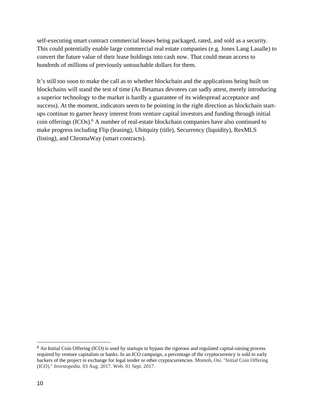self-executing smart contract commercial leases being packaged, rated, and sold as a security. This could potentially enable large commercial real estate companies (e.g. Jones Lang Lasalle) to convert the future value of their lease holdings into cash now. That could mean access to hundreds of millions of previously untouchable dollars for them.

It's still too soon to make the call as to whether blockchain and the applications being built on blockchains will stand the test of time (As Betamax devotees can sadly attest, merely introducing a superior technology to the market is hardly a guarantee of its widespread acceptance and success). At the moment, indicators seem to be pointing in the right direction as blockchain startups continue to garner heavy interest from venture capital investors and funding through initial coin offerings (ICOs).<sup>6</sup> A number of real-estate blockchain companies have also continued to make progress including Flip (leasing), Ubitquity (title), Securrency (liquidity), RexMLS (listing), and ChromaWay (smart contracts).

 $\overline{a}$ 

<sup>&</sup>lt;sup>6</sup> An Initial Coin Offering (ICO) is used by startups to bypass the rigorous and regulated capital-raising process required by venture capitalists or banks. In an ICO campaign, a percentage of the cryptocurrency is sold to early backers of the project in exchange for legal tender or other cryptocurrencies. Momoh, Osi. "Initial Coin Offering (ICO)." *Investopedia*. 03 Aug. 2017. Web. 01 Sept. 2017.